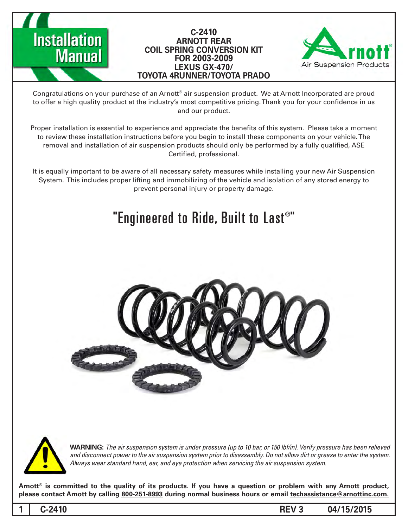



Congratulations on your purchase of an Arnott® air suspension product. We at Arnott Incorporated are proud to offer a high quality product at the industry's most competitive pricing. Thank you for your confidence in us and our product.

Proper installation is essential to experience and appreciate the benefits of this system. Please take a moment to review these installation instructions before you begin to install these components on your vehicle. The removal and installation of air suspension products should only be performed by a fully qualified, ASE Certified, professional.

It is equally important to be aware of all necessary safety measures while installing your new Air Suspension System. This includes proper lifting and immobilizing of the vehicle and isolation of any stored energy to prevent personal injury or property damage.

# "Engineered to Ride, Built to Last®"





**Installation** 

**Manual** 

*WARNING: The air suspension system is under pressure (up to 10 bar, or 150 lbf/in). Verify pressure has been relieved* and disconnect power to the air suspension system prior to disassembly. Do not allow dirt or grease to enter the system. Always wear standard hand, ear, and eye protection when servicing the air suspension system.

Arnott<sup>®</sup> is committed to the quality of its products. If you have a question or problem with any Arnott product, please contact Arnott by calling 800-251-8993 during normal business hours or email techassistance@arnottinc.com.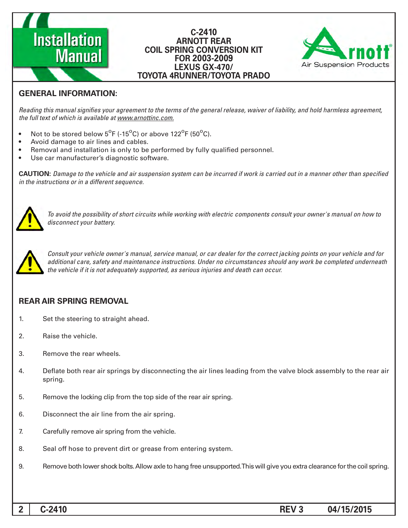# **Installation Manual**

#### **C-2410 ARNOTT REAR COIL SPRING CONVERSION KIT 2003-2009 FOR LEXUS GX-470/ TOYOTA 4RUNNER/TOYOTA PRADO**



## **GENERAL INFORMATION:**

Reading this manual signifies your agreement to the terms of the general release, waiver of liability, and hold harmless agreement, the full text of which is available at www.arnottinc.com.

- Not to be stored below  $5^{\circ}$ F (-15 $^{\circ}$ C) or above 122 $^{\circ}$ F (50 $^{\circ}$ C).
- Avoid damage to air lines and cables.
- Removal and installation is only to be performed by fully qualified personnel.
- Use car manufacturer's diagnostic software.

**CAUTION:** Damage to the vehicle and air suspension system can be incurred if work is carried out in a manner other than specified *in the instructions or in a different sequence.* 



 *to how on manual s'owner your consult components electric with working while circuits short of possibility the avoid To* disconnect your battery.



*Consult your vehicle owner's manual, service manual, or car dealer for the correct jacking points on your vehicle and for* additional care, safety and maintenance instructions. Under no circumstances should any work be completed underneath the vehicle if it is not adequately supported, as serious injuries and death can occur.

### **REAR AIR SPRING REMOVAL**

- 1. Set the steering to straight ahead.
- 2. Raise the vehicle.
- 3. Remove the rear wheels.
- 4. Deflate both rear air springs by disconnecting the air lines leading from the valve block assembly to the rear air spring.
- 5. Bemove the locking clip from the top side of the rear air spring.
- 6. Disconnect the air line from the air spring.
- 7. Carefully remove air spring from the vehicle.
- 8. Seal off hose to prevent dirt or grease from entering system.
- 9. Suppring consideration over shock bolts. Allow axle to hang free unsupported. This will give you extra clearance for the coil spring.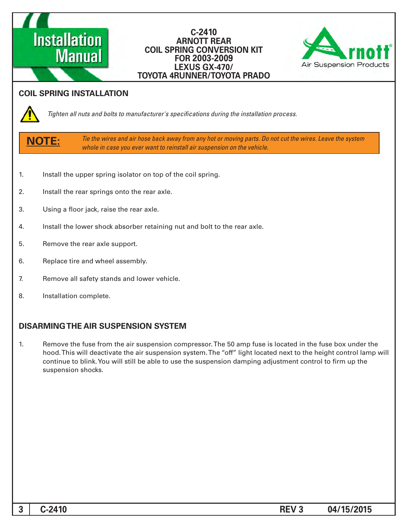#### **-2410C ARNOTT REAR COIL SPRING CONVERSION KIT 2003-2009 FOR LEXUS GX-470/ TOYOTA 4RUNNER/TOYOTA PRADO**



#### **COIL SPRING INSTALLATION**

**Manual** 

**Installation** 



*Tighten all nuts and bolts to manufacturer's specifications during the installation process.* 

**:NOTE**

Tie the wires and air hose back away from any hot or moving parts. Do not cut the wires. Leave the system *whole in case you ever want to reinstall air suspension on the vehicle.* 

- 1. Install the upper spring isolator on top of the coil spring.
- 2. Install the rear springs onto the rear axle.
- 3. Using a floor jack, raise the rear axle.
- 4. Install the lower shock absorber retaining nut and bolt to the rear axle.
- 5. Remove the rear axle support.
- 6. Replace tire and wheel assembly.
- 7. Remove all safety stands and lower vehicle.
- 8. Installation complete.

#### **DISARMING THE AIR SUSPENSION SYSTEM**

1. Remove the fuse from the air suspension compressor. The 50 amp fuse is located in the fuse box under the hood. This will deactivate the air suspension system. The "off" light located next to the height control lamp will continue to blink. You will still be able to use the suspension damping adjustment control to firm up the suspension shocks.